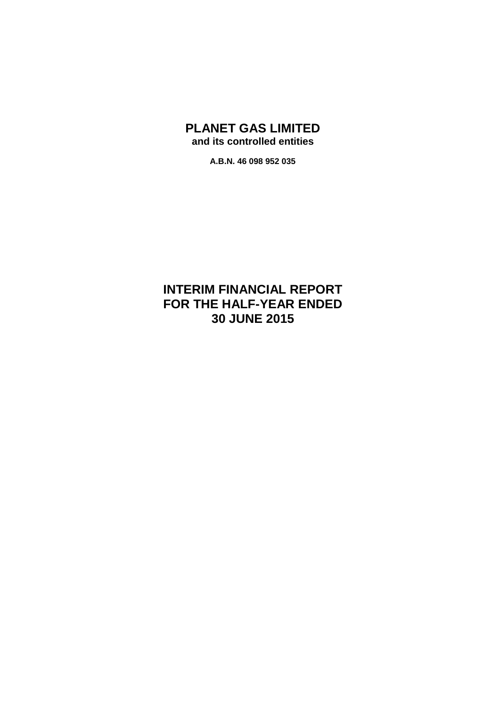## **PLANET GAS LIMITED and its controlled entities**

**A.B.N. 46 098 952 035**

# **INTERIM FINANCIAL REPORT FOR THE HALF-YEAR ENDED 30 JUNE 2015**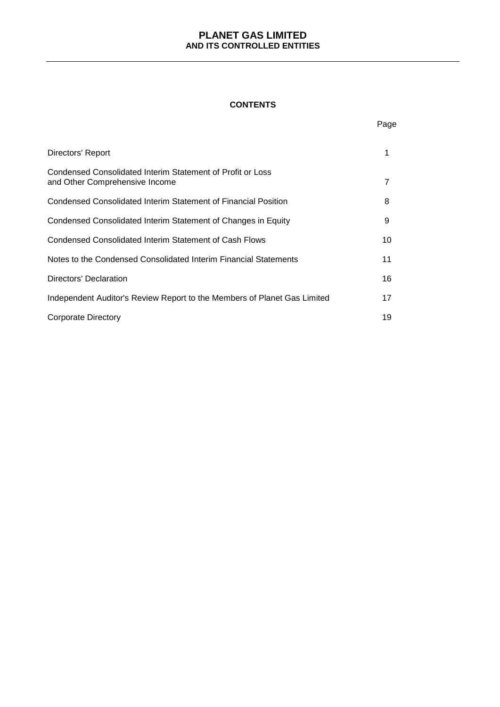#### **CONTENTS**

|                                                                                              | Page |
|----------------------------------------------------------------------------------------------|------|
| Directors' Report                                                                            | 1    |
| Condensed Consolidated Interim Statement of Profit or Loss<br>and Other Comprehensive Income | 7    |
| Condensed Consolidated Interim Statement of Financial Position                               | 8    |
| Condensed Consolidated Interim Statement of Changes in Equity                                | 9    |
| Condensed Consolidated Interim Statement of Cash Flows                                       | 10   |
| Notes to the Condensed Consolidated Interim Financial Statements                             | 11   |
| Directors' Declaration                                                                       | 16   |
| Independent Auditor's Review Report to the Members of Planet Gas Limited                     | 17   |
| Corporate Directory                                                                          | 19   |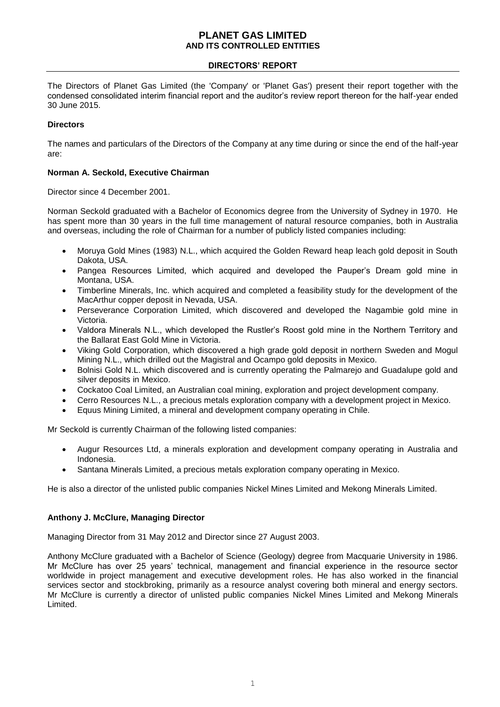## **DIRECTORS' REPORT**

The Directors of Planet Gas Limited (the 'Company' or 'Planet Gas') present their report together with the condensed consolidated interim financial report and the auditor's review report thereon for the half-year ended 30 June 2015.

## **Directors**

The names and particulars of the Directors of the Company at any time during or since the end of the half-year are:

## **Norman A. Seckold, Executive Chairman**

Director since 4 December 2001.

Norman Seckold graduated with a Bachelor of Economics degree from the University of Sydney in 1970. He has spent more than 30 years in the full time management of natural resource companies, both in Australia and overseas, including the role of Chairman for a number of publicly listed companies including:

- Moruya Gold Mines (1983) N.L., which acquired the Golden Reward heap leach gold deposit in South Dakota, USA.
- Pangea Resources Limited, which acquired and developed the Pauper's Dream gold mine in Montana, USA.
- Timberline Minerals, Inc. which acquired and completed a feasibility study for the development of the MacArthur copper deposit in Nevada, USA.
- Perseverance Corporation Limited, which discovered and developed the Nagambie gold mine in Victoria.
- Valdora Minerals N.L., which developed the Rustler's Roost gold mine in the Northern Territory and the Ballarat East Gold Mine in Victoria.
- Viking Gold Corporation, which discovered a high grade gold deposit in northern Sweden and Mogul Mining N.L., which drilled out the Magistral and Ocampo gold deposits in Mexico.
- Bolnisi Gold N.L. which discovered and is currently operating the Palmarejo and Guadalupe gold and silver deposits in Mexico.
- Cockatoo Coal Limited, an Australian coal mining, exploration and project development company.
- Cerro Resources N.L., a precious metals exploration company with a development project in Mexico.
- Equus Mining Limited, a mineral and development company operating in Chile.

Mr Seckold is currently Chairman of the following listed companies:

- Augur Resources Ltd, a minerals exploration and development company operating in Australia and Indonesia.
- Santana Minerals Limited, a precious metals exploration company operating in Mexico.

He is also a director of the unlisted public companies Nickel Mines Limited and Mekong Minerals Limited.

#### **Anthony J. McClure, Managing Director**

Managing Director from 31 May 2012 and Director since 27 August 2003.

Anthony McClure graduated with a Bachelor of Science (Geology) degree from Macquarie University in 1986. Mr McClure has over 25 years' technical, management and financial experience in the resource sector worldwide in project management and executive development roles. He has also worked in the financial services sector and stockbroking, primarily as a resource analyst covering both mineral and energy sectors. Mr McClure is currently a director of unlisted public companies Nickel Mines Limited and Mekong Minerals Limited.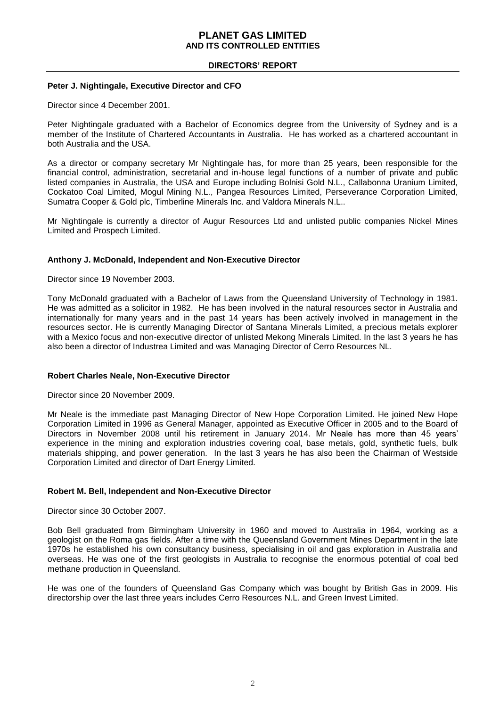## **DIRECTORS' REPORT**

#### **Peter J. Nightingale, Executive Director and CFO**

Director since 4 December 2001.

Peter Nightingale graduated with a Bachelor of Economics degree from the University of Sydney and is a member of the Institute of Chartered Accountants in Australia. He has worked as a chartered accountant in both Australia and the USA.

As a director or company secretary Mr Nightingale has, for more than 25 years, been responsible for the financial control, administration, secretarial and in-house legal functions of a number of private and public listed companies in Australia, the USA and Europe including Bolnisi Gold N.L., Callabonna Uranium Limited, Cockatoo Coal Limited, Mogul Mining N.L., Pangea Resources Limited, Perseverance Corporation Limited, Sumatra Cooper & Gold plc, Timberline Minerals Inc. and Valdora Minerals N.L..

Mr Nightingale is currently a director of Augur Resources Ltd and unlisted public companies Nickel Mines Limited and Prospech Limited.

## **Anthony J. McDonald, Independent and Non-Executive Director**

Director since 19 November 2003.

Tony McDonald graduated with a Bachelor of Laws from the Queensland University of Technology in 1981. He was admitted as a solicitor in 1982. He has been involved in the natural resources sector in Australia and internationally for many years and in the past 14 years has been actively involved in management in the resources sector. He is currently Managing Director of Santana Minerals Limited, a precious metals explorer with a Mexico focus and non-executive director of unlisted Mekong Minerals Limited. In the last 3 years he has also been a director of Industrea Limited and was Managing Director of Cerro Resources NL.

#### **Robert Charles Neale, Non-Executive Director**

Director since 20 November 2009.

Mr Neale is the immediate past Managing Director of New Hope Corporation Limited. He joined New Hope Corporation Limited in 1996 as General Manager, appointed as Executive Officer in 2005 and to the Board of Directors in November 2008 until his retirement in January 2014. Mr Neale has more than 45 years' experience in the mining and exploration industries covering coal, base metals, gold, synthetic fuels, bulk materials shipping, and power generation. In the last 3 years he has also been the Chairman of Westside Corporation Limited and director of Dart Energy Limited.

## **Robert M. Bell, Independent and Non-Executive Director**

Director since 30 October 2007.

Bob Bell graduated from Birmingham University in 1960 and moved to Australia in 1964, working as a geologist on the Roma gas fields. After a time with the Queensland Government Mines Department in the late 1970s he established his own consultancy business, specialising in oil and gas exploration in Australia and overseas. He was one of the first geologists in Australia to recognise the enormous potential of coal bed methane production in Queensland.

He was one of the founders of Queensland Gas Company which was bought by British Gas in 2009. His directorship over the last three years includes Cerro Resources N.L. and Green Invest Limited.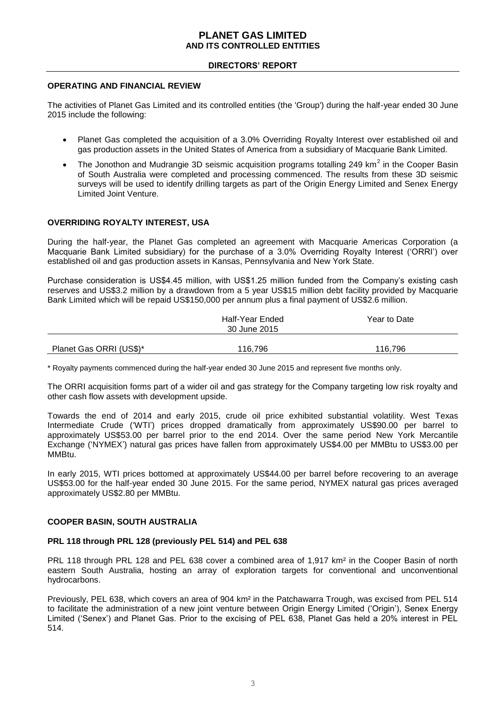#### **DIRECTORS' REPORT**

## **OPERATING AND FINANCIAL REVIEW**

The activities of Planet Gas Limited and its controlled entities (the 'Group') during the half-year ended 30 June 2015 include the following:

- Planet Gas completed the acquisition of a 3.0% Overriding Royalty Interest over established oil and gas production assets in the United States of America from a subsidiary of Macquarie Bank Limited.
- The Jonothon and Mudrangie 3D seismic acquisition programs totalling 249 km<sup>2</sup> in the Cooper Basin of South Australia were completed and processing commenced. The results from these 3D seismic surveys will be used to identify drilling targets as part of the Origin Energy Limited and Senex Energy Limited Joint Venture.

## **OVERRIDING ROYALTY INTEREST, USA**

During the half-year, the Planet Gas completed an agreement with Macquarie Americas Corporation (a Macquarie Bank Limited subsidiary) for the purchase of a 3.0% Overriding Royalty Interest ('ORRI') over established oil and gas production assets in Kansas, Pennsylvania and New York State.

Purchase consideration is US\$4.45 million, with US\$1.25 million funded from the Company's existing cash reserves and US\$3.2 million by a drawdown from a 5 year US\$15 million debt facility provided by Macquarie Bank Limited which will be repaid US\$150,000 per annum plus a final payment of US\$2.6 million.

| Half-Year Ended<br>30 June 2015 |         | Year to Date |
|---------------------------------|---------|--------------|
| Planet Gas ORRI (US\$)*         | 116,796 | 116,796      |

\* Royalty payments commenced during the half-year ended 30 June 2015 and represent five months only.

The ORRI acquisition forms part of a wider oil and gas strategy for the Company targeting low risk royalty and other cash flow assets with development upside.

Towards the end of 2014 and early 2015, crude oil price exhibited substantial volatility. West Texas Intermediate Crude ('WTI') prices dropped dramatically from approximately US\$90.00 per barrel to approximately US\$53.00 per barrel prior to the end 2014. Over the same period New York Mercantile Exchange ('NYMEX') natural gas prices have fallen from approximately US\$4.00 per MMBtu to US\$3.00 per MMBtu.

In early 2015, WTI prices bottomed at approximately US\$44.00 per barrel before recovering to an average US\$53.00 for the half-year ended 30 June 2015. For the same period, NYMEX natural gas prices averaged approximately US\$2.80 per MMBtu.

#### **COOPER BASIN, SOUTH AUSTRALIA**

#### **PRL 118 through PRL 128 (previously PEL 514) and PEL 638**

PRL 118 through PRL 128 and PEL 638 cover a combined area of 1,917 km² in the Cooper Basin of north eastern South Australia, hosting an array of exploration targets for conventional and unconventional hydrocarbons.

Previously, PEL 638, which covers an area of 904 km² in the Patchawarra Trough, was excised from PEL 514 to facilitate the administration of a new joint venture between Origin Energy Limited ('Origin'), Senex Energy Limited ('Senex') and Planet Gas. Prior to the excising of PEL 638, Planet Gas held a 20% interest in PEL 514.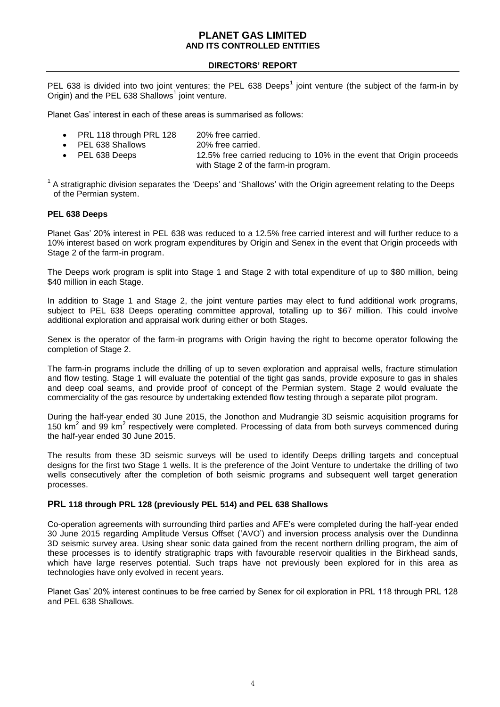## **DIRECTORS' REPORT**

PEL 638 is divided into two joint ventures; the PEL 638 Deeps<sup>1</sup> joint venture (the subject of the farm-in by Origin) and the PEL 638 Shallows<sup>1</sup> joint venture.

Planet Gas' interest in each of these areas is summarised as follows:

- PRL 118 through PRL 128 20% free carried.
- PEL 638 Shallows 20% free carried.
- PEL 638 Deeps 12.5% free carried reducing to 10% in the event that Origin proceeds with Stage 2 of the farm-in program.

 $1$  A stratigraphic division separates the 'Deeps' and 'Shallows' with the Origin agreement relating to the Deeps of the Permian system.

## **PEL 638 Deeps**

Planet Gas' 20% interest in PEL 638 was reduced to a 12.5% free carried interest and will further reduce to a 10% interest based on work program expenditures by Origin and Senex in the event that Origin proceeds with Stage 2 of the farm-in program.

The Deeps work program is split into Stage 1 and Stage 2 with total expenditure of up to \$80 million, being \$40 million in each Stage.

In addition to Stage 1 and Stage 2, the joint venture parties may elect to fund additional work programs, subject to PEL 638 Deeps operating committee approval, totalling up to \$67 million. This could involve additional exploration and appraisal work during either or both Stages.

Senex is the operator of the farm-in programs with Origin having the right to become operator following the completion of Stage 2.

The farm-in programs include the drilling of up to seven exploration and appraisal wells, fracture stimulation and flow testing. Stage 1 will evaluate the potential of the tight gas sands, provide exposure to gas in shales and deep coal seams, and provide proof of concept of the Permian system. Stage 2 would evaluate the commerciality of the gas resource by undertaking extended flow testing through a separate pilot program.

During the half-year ended 30 June 2015, the Jonothon and Mudrangie 3D seismic acquisition programs for 150 km<sup>2</sup> and 99 km<sup>2</sup> respectively were completed. Processing of data from both surveys commenced during the half-year ended 30 June 2015.

The results from these 3D seismic surveys will be used to identify Deeps drilling targets and conceptual designs for the first two Stage 1 wells. It is the preference of the Joint Venture to undertake the drilling of two wells consecutively after the completion of both seismic programs and subsequent well target generation processes.

#### **PRL 118 through PRL 128 (previously PEL 514) and PEL 638 Shallows**

Co-operation agreements with surrounding third parties and AFE's were completed during the half-year ended 30 June 2015 regarding Amplitude Versus Offset ('AVO') and inversion process analysis over the Dundinna 3D seismic survey area. Using shear sonic data gained from the recent northern drilling program, the aim of these processes is to identify stratigraphic traps with favourable reservoir qualities in the Birkhead sands, which have large reserves potential. Such traps have not previously been explored for in this area as technologies have only evolved in recent years.

Planet Gas' 20% interest continues to be free carried by Senex for oil exploration in PRL 118 through PRL 128 and PEL 638 Shallows.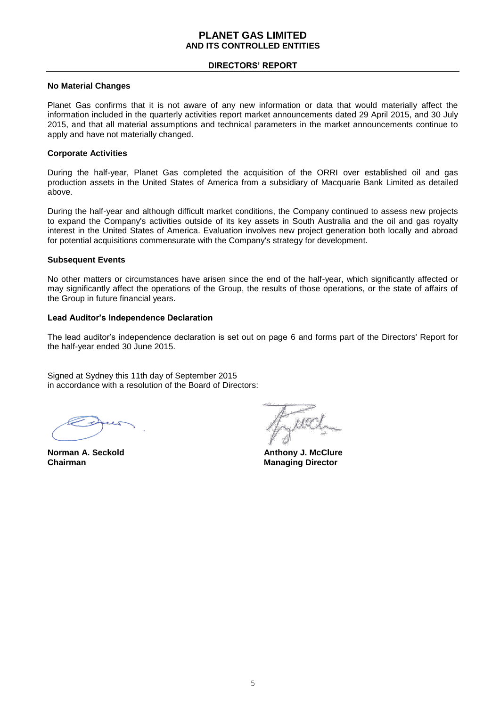#### **DIRECTORS' REPORT**

#### **No Material Changes**

Planet Gas confirms that it is not aware of any new information or data that would materially affect the information included in the quarterly activities report market announcements dated 29 April 2015, and 30 July 2015, and that all material assumptions and technical parameters in the market announcements continue to apply and have not materially changed.

#### **Corporate Activities**

During the half-year, Planet Gas completed the acquisition of the ORRI over established oil and gas production assets in the United States of America from a subsidiary of Macquarie Bank Limited as detailed above.

During the half-year and although difficult market conditions, the Company continued to assess new projects to expand the Company's activities outside of its key assets in South Australia and the oil and gas royalty interest in the United States of America. Evaluation involves new project generation both locally and abroad for potential acquisitions commensurate with the Company's strategy for development.

#### **Subsequent Events**

No other matters or circumstances have arisen since the end of the half-year, which significantly affected or may significantly affect the operations of the Group, the results of those operations, or the state of affairs of the Group in future financial years.

#### **Lead Auditor's Independence Declaration**

The lead auditor's independence declaration is set out on page 6 and forms part of the Directors' Report for the half-year ended 30 June 2015.

Signed at Sydney this 11th day of September 2015 in accordance with a resolution of the Board of Directors:

**Chairman** Managing Director

**Norman A. Seckold Anthony J. McClure**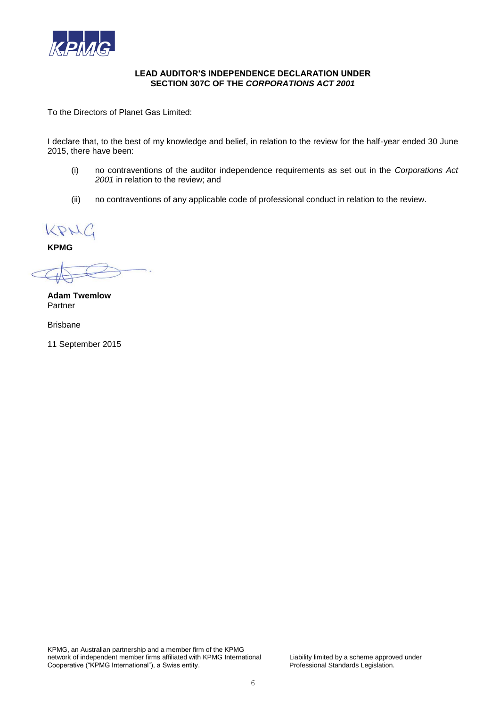

#### **LEAD AUDITOR'S INDEPENDENCE DECLARATION UNDER SECTION 307C OF THE** *CORPORATIONS ACT 2001*

To the Directors of Planet Gas Limited:

I declare that, to the best of my knowledge and belief, in relation to the review for the half-year ended 30 June 2015, there have been:

- (i) no contraventions of the auditor independence requirements as set out in the *Corporations Act 2001* in relation to the review; and
- (ii) no contraventions of any applicable code of professional conduct in relation to the review.

KPNC

**KPMG**

i.

**Adam Twemlow** Partner

Brisbane

11 September 2015

KPMG, an Australian partnership and a member firm of the KPMG network of independent member firms affiliated with KPMG International Liability limited by a scheme approved under<br>Cooperative ("KPMG International"), a Swiss entity.<br>Professional Standards Legislation. Cooperative ("KPMG International"), a Swiss entity.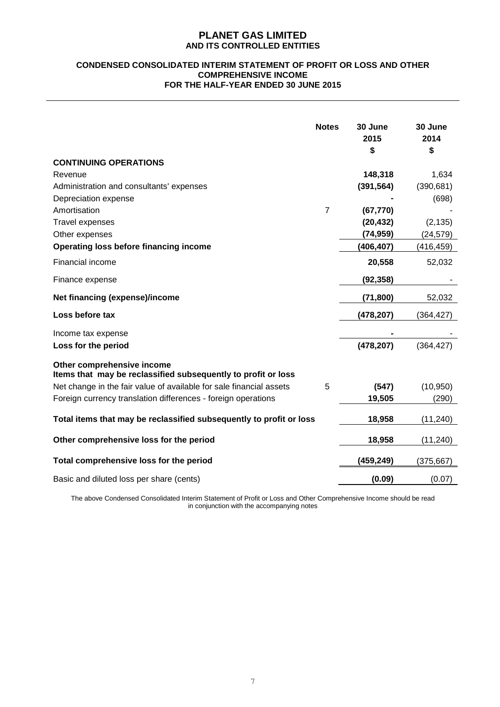#### **CONDENSED CONSOLIDATED INTERIM STATEMENT OF PROFIT OR LOSS AND OTHER COMPREHENSIVE INCOME FOR THE HALF-YEAR ENDED 30 JUNE 2015**

|                                                                                             | <b>Notes</b>   | 30 June<br>2015<br>\$ | 30 June<br>2014<br>\$ |
|---------------------------------------------------------------------------------------------|----------------|-----------------------|-----------------------|
| <b>CONTINUING OPERATIONS</b>                                                                |                |                       |                       |
| Revenue                                                                                     |                | 148,318               | 1,634                 |
| Administration and consultants' expenses                                                    |                | (391, 564)            | (390, 681)            |
| Depreciation expense                                                                        |                |                       | (698)                 |
| Amortisation                                                                                | $\overline{7}$ | (67, 770)             |                       |
| <b>Travel expenses</b>                                                                      |                | (20, 432)             | (2, 135)              |
| Other expenses                                                                              |                | (74, 959)             | (24, 579)             |
| Operating loss before financing income                                                      |                | (406, 407)            | (416, 459)            |
| Financial income                                                                            |                | 20,558                | 52,032                |
| Finance expense                                                                             |                | (92, 358)             |                       |
| Net financing (expense)/income                                                              |                | (71, 800)             | 52,032                |
| Loss before tax                                                                             |                | (478, 207)            | (364, 427)            |
| Income tax expense                                                                          |                |                       |                       |
| Loss for the period                                                                         |                | (478, 207)            | (364, 427)            |
| Other comprehensive income<br>Items that may be reclassified subsequently to profit or loss |                |                       |                       |
| Net change in the fair value of available for sale financial assets                         | 5              | (547)                 | (10, 950)             |
| Foreign currency translation differences - foreign operations                               |                | 19,505                | (290)                 |
| Total items that may be reclassified subsequently to profit or loss                         |                | 18,958                | (11, 240)             |
| Other comprehensive loss for the period                                                     |                | 18,958                | (11, 240)             |
| Total comprehensive loss for the period                                                     |                | (459, 249)            | (375, 667)            |
| Basic and diluted loss per share (cents)                                                    |                | (0.09)                | (0.07)                |

The above Condensed Consolidated Interim Statement of Profit or Loss and Other Comprehensive Income should be read in conjunction with the accompanying notes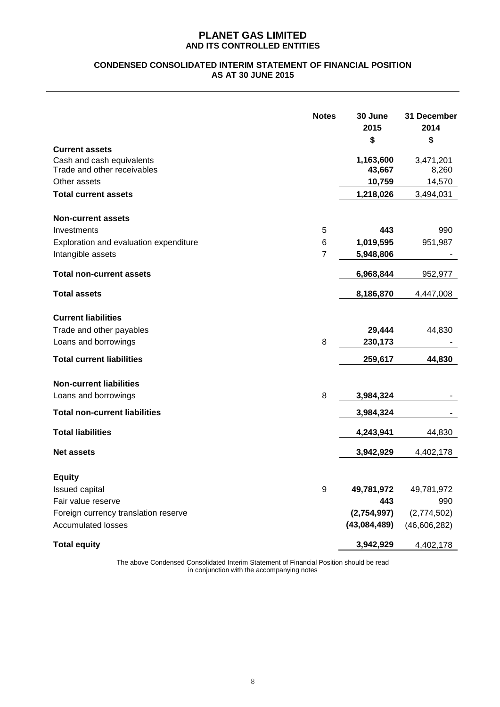## **CONDENSED CONSOLIDATED INTERIM STATEMENT OF FINANCIAL POSITION AS AT 30 JUNE 2015**

|                                                                                   | <b>Notes</b>   | 30 June<br>2015<br>\$ | 31 December<br>2014<br>\$ |
|-----------------------------------------------------------------------------------|----------------|-----------------------|---------------------------|
| <b>Current assets</b><br>Cash and cash equivalents<br>Trade and other receivables |                | 1,163,600<br>43,667   | 3,471,201<br>8,260        |
| Other assets                                                                      |                | 10,759                | 14,570                    |
| <b>Total current assets</b>                                                       |                | 1,218,026             | 3,494,031                 |
| <b>Non-current assets</b>                                                         |                |                       |                           |
| Investments                                                                       | 5              | 443                   | 990                       |
| Exploration and evaluation expenditure                                            | 6              | 1,019,595             | 951,987                   |
| Intangible assets                                                                 | $\overline{7}$ | 5,948,806             |                           |
| <b>Total non-current assets</b>                                                   |                | 6,968,844             | 952,977                   |
| <b>Total assets</b>                                                               |                | 8,186,870             | 4,447,008                 |
| <b>Current liabilities</b>                                                        |                |                       |                           |
| Trade and other payables                                                          |                | 29,444                | 44,830                    |
| Loans and borrowings                                                              | 8              | 230,173               |                           |
| <b>Total current liabilities</b>                                                  |                | 259,617               | 44,830                    |
| <b>Non-current liabilities</b>                                                    |                |                       |                           |
| Loans and borrowings                                                              | 8              | 3,984,324             |                           |
| <b>Total non-current liabilities</b>                                              |                | 3,984,324             |                           |
| <b>Total liabilities</b>                                                          |                | 4,243,941             | 44,830                    |
| <b>Net assets</b>                                                                 |                | 3,942,929             | 4,402,178                 |
| <b>Equity</b>                                                                     |                |                       |                           |
| Issued capital                                                                    | 9              | 49,781,972            | 49,781,972                |
| Fair value reserve                                                                |                | 443                   | 990                       |
| Foreign currency translation reserve                                              |                | (2,754,997)           | (2,774,502)               |
| <b>Accumulated losses</b>                                                         |                | (43,084,489)          | (46,606,282)              |
| <b>Total equity</b>                                                               |                | 3,942,929             | 4,402,178                 |

The above Condensed Consolidated Interim Statement of Financial Position should be read in conjunction with the accompanying notes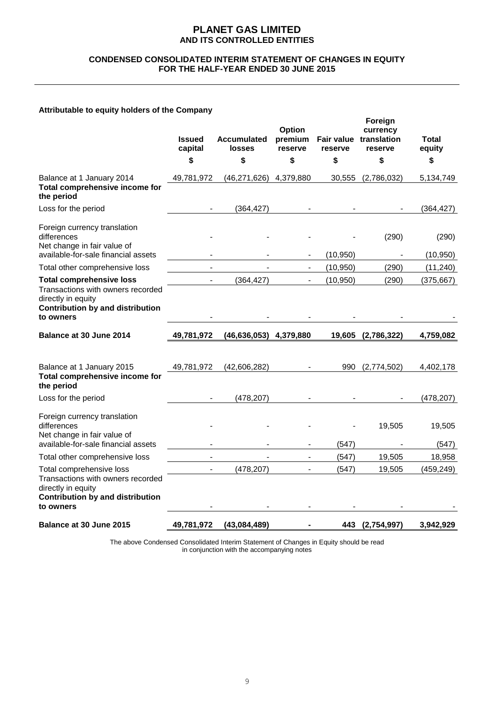#### **CONDENSED CONSOLIDATED INTERIM STATEMENT OF CHANGES IN EQUITY FOR THE HALF-YEAR ENDED 30 JUNE 2015**

## **Attributable to equity holders of the Company**

|                                                                                                                                             | <b>Issued</b><br>capital | <b>Accumulated</b><br><b>losses</b> | Option<br>premium<br>reserve | reserve   | Foreign<br>currency<br>Fair value translation<br>reserve | Total<br>equity    |
|---------------------------------------------------------------------------------------------------------------------------------------------|--------------------------|-------------------------------------|------------------------------|-----------|----------------------------------------------------------|--------------------|
|                                                                                                                                             | \$                       | \$                                  | \$                           | \$        | \$                                                       | \$                 |
| Balance at 1 January 2014<br>Total comprehensive income for<br>the period                                                                   | 49,781,972               | (46, 271, 626)                      | 4.379.880                    | 30,555    | (2,786,032)                                              | 5,134,749          |
| Loss for the period                                                                                                                         |                          | (364, 427)                          |                              |           |                                                          | (364, 427)         |
| Foreign currency translation<br>differences<br>Net change in fair value of<br>available-for-sale financial assets                           |                          |                                     |                              | (10, 950) | (290)                                                    | (290)<br>(10, 950) |
| Total other comprehensive loss                                                                                                              |                          |                                     | $\blacksquare$               | (10, 950) | (290)                                                    | (11, 240)          |
| <b>Total comprehensive loss</b>                                                                                                             |                          | (364, 427)                          |                              | (10, 950) | (290)                                                    | (375, 667)         |
| Transactions with owners recorded<br>directly in equity<br><b>Contribution by and distribution</b><br>to owners                             |                          |                                     |                              |           |                                                          |                    |
| Balance at 30 June 2014                                                                                                                     | 49,781,972               | (46, 636, 053)                      | 4,379,880                    | 19,605    | (2,786,322)                                              | 4,759,082          |
|                                                                                                                                             |                          |                                     |                              |           |                                                          |                    |
| Balance at 1 January 2015<br>Total comprehensive income for<br>the period                                                                   | 49,781,972               | (42,606,282)                        |                              | 990       | (2,774,502)                                              | 4,402,178          |
| Loss for the period                                                                                                                         |                          | (478, 207)                          |                              |           |                                                          | (478, 207)         |
| Foreign currency translation<br>differences<br>Net change in fair value of                                                                  |                          |                                     |                              |           | 19,505                                                   | 19,505             |
| available-for-sale financial assets                                                                                                         |                          |                                     |                              | (547)     |                                                          | (547)              |
| Total other comprehensive loss                                                                                                              |                          |                                     |                              | (547)     | 19,505                                                   | 18,958             |
| Total comprehensive loss<br>Transactions with owners recorded<br>directly in equity<br><b>Contribution by and distribution</b><br>to owners |                          | (478, 207)                          | $\blacksquare$               | (547)     | 19,505                                                   | (459, 249)         |
| Balance at 30 June 2015                                                                                                                     | 49,781,972               | (43,084,489)                        |                              |           | 443 (2,754,997)                                          | 3,942,929          |

The above Condensed Consolidated Interim Statement of Changes in Equity should be read in conjunction with the accompanying notes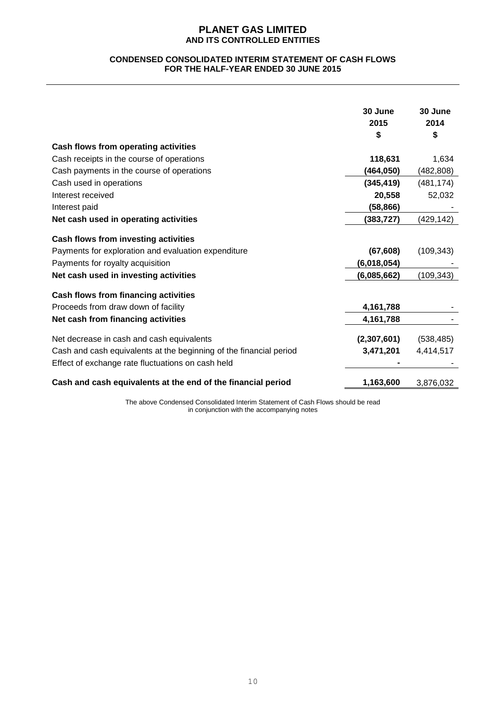#### **CONDENSED CONSOLIDATED INTERIM STATEMENT OF CASH FLOWS FOR THE HALF-YEAR ENDED 30 JUNE 2015**

|                                                                    | 30 June<br>2015 | 30 June<br>2014 |
|--------------------------------------------------------------------|-----------------|-----------------|
|                                                                    | S               | \$              |
| Cash flows from operating activities                               |                 |                 |
| Cash receipts in the course of operations                          | 118,631         | 1,634           |
| Cash payments in the course of operations                          | (464,050)       | (482,808)       |
| Cash used in operations                                            | (345, 419)      | (481, 174)      |
| Interest received                                                  | 20,558          | 52,032          |
| Interest paid                                                      | (58, 866)       |                 |
| Net cash used in operating activities                              | (383, 727)      | (429, 142)      |
| <b>Cash flows from investing activities</b>                        |                 |                 |
| Payments for exploration and evaluation expenditure                | (67, 608)       | (109, 343)      |
| Payments for royalty acquisition                                   | (6,018,054)     |                 |
| Net cash used in investing activities                              | (6,085,662)     | (109, 343)      |
| Cash flows from financing activities                               |                 |                 |
| Proceeds from draw down of facility                                | 4,161,788       |                 |
| Net cash from financing activities                                 | 4,161,788       |                 |
| Net decrease in cash and cash equivalents                          | (2,307,601)     | (538, 485)      |
| Cash and cash equivalents at the beginning of the financial period | 3,471,201       | 4,414,517       |
| Effect of exchange rate fluctuations on cash held                  |                 |                 |
| Cash and cash equivalents at the end of the financial period       | 1,163,600       | 3,876,032       |

The above Condensed Consolidated Interim Statement of Cash Flows should be read in conjunction with the accompanying notes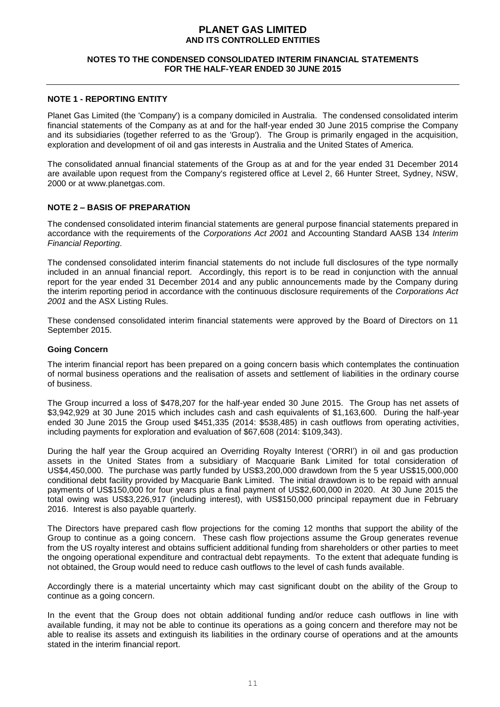#### **NOTES TO THE CONDENSED CONSOLIDATED INTERIM FINANCIAL STATEMENTS FOR THE HALF-YEAR ENDED 30 JUNE 2015**

#### **NOTE 1 - REPORTING ENTITY**

Planet Gas Limited (the 'Company') is a company domiciled in Australia. The condensed consolidated interim financial statements of the Company as at and for the half-year ended 30 June 2015 comprise the Company and its subsidiaries (together referred to as the 'Group'). The Group is primarily engaged in the acquisition, exploration and development of oil and gas interests in Australia and the United States of America.

The consolidated annual financial statements of the Group as at and for the year ended 31 December 2014 are available upon request from the Company's registered office at Level 2, 66 Hunter Street, Sydney, NSW, 2000 or at www.planetgas.com.

## **NOTE 2 – BASIS OF PREPARATION**

The condensed consolidated interim financial statements are general purpose financial statements prepared in accordance with the requirements of the *Corporations Act 2001* and Accounting Standard AASB 134 *Interim Financial Reporting*.

The condensed consolidated interim financial statements do not include full disclosures of the type normally included in an annual financial report. Accordingly, this report is to be read in conjunction with the annual report for the year ended 31 December 2014 and any public announcements made by the Company during the interim reporting period in accordance with the continuous disclosure requirements of the *Corporations Act 2001* and the ASX Listing Rules.

These condensed consolidated interim financial statements were approved by the Board of Directors on 11 September 2015.

#### **Going Concern**

The interim financial report has been prepared on a going concern basis which contemplates the continuation of normal business operations and the realisation of assets and settlement of liabilities in the ordinary course of business.

The Group incurred a loss of \$478,207 for the half-year ended 30 June 2015. The Group has net assets of \$3,942,929 at 30 June 2015 which includes cash and cash equivalents of \$1,163,600. During the half-year ended 30 June 2015 the Group used \$451,335 (2014: \$538,485) in cash outflows from operating activities, including payments for exploration and evaluation of \$67,608 (2014: \$109,343).

During the half year the Group acquired an Overriding Royalty Interest ('ORRI') in oil and gas production assets in the United States from a subsidiary of Macquarie Bank Limited for total consideration of US\$4,450,000. The purchase was partly funded by US\$3,200,000 drawdown from the 5 year US\$15,000,000 conditional debt facility provided by Macquarie Bank Limited. The initial drawdown is to be repaid with annual payments of US\$150,000 for four years plus a final payment of US\$2,600,000 in 2020. At 30 June 2015 the total owing was US\$3,226,917 (including interest), with US\$150,000 principal repayment due in February 2016. Interest is also payable quarterly.

The Directors have prepared cash flow projections for the coming 12 months that support the ability of the Group to continue as a going concern. These cash flow projections assume the Group generates revenue from the US royalty interest and obtains sufficient additional funding from shareholders or other parties to meet the ongoing operational expenditure and contractual debt repayments. To the extent that adequate funding is not obtained, the Group would need to reduce cash outflows to the level of cash funds available.

Accordingly there is a material uncertainty which may cast significant doubt on the ability of the Group to continue as a going concern.

In the event that the Group does not obtain additional funding and/or reduce cash outflows in line with available funding, it may not be able to continue its operations as a going concern and therefore may not be able to realise its assets and extinguish its liabilities in the ordinary course of operations and at the amounts stated in the interim financial report.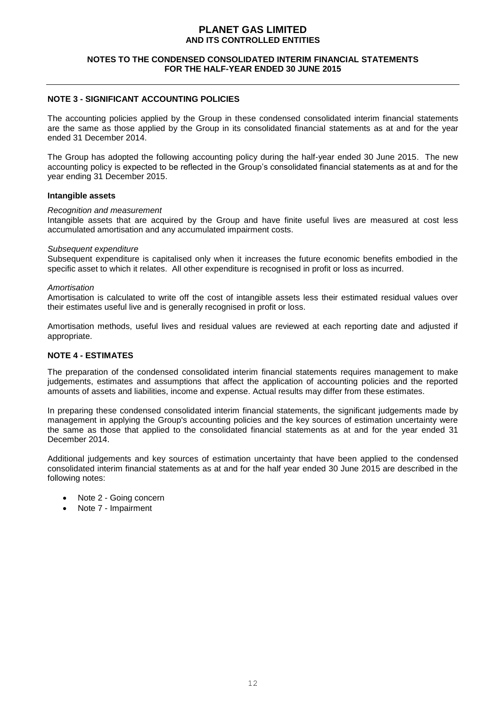#### **NOTES TO THE CONDENSED CONSOLIDATED INTERIM FINANCIAL STATEMENTS FOR THE HALF-YEAR ENDED 30 JUNE 2015**

## **NOTE 3 - SIGNIFICANT ACCOUNTING POLICIES**

The accounting policies applied by the Group in these condensed consolidated interim financial statements are the same as those applied by the Group in its consolidated financial statements as at and for the year ended 31 December 2014.

The Group has adopted the following accounting policy during the half-year ended 30 June 2015. The new accounting policy is expected to be reflected in the Group's consolidated financial statements as at and for the year ending 31 December 2015.

#### **Intangible assets**

#### *Recognition and measurement*

Intangible assets that are acquired by the Group and have finite useful lives are measured at cost less accumulated amortisation and any accumulated impairment costs.

#### *Subsequent expenditure*

Subsequent expenditure is capitalised only when it increases the future economic benefits embodied in the specific asset to which it relates. All other expenditure is recognised in profit or loss as incurred.

#### *Amortisation*

Amortisation is calculated to write off the cost of intangible assets less their estimated residual values over their estimates useful live and is generally recognised in profit or loss.

Amortisation methods, useful lives and residual values are reviewed at each reporting date and adjusted if appropriate.

#### **NOTE 4 - ESTIMATES**

The preparation of the condensed consolidated interim financial statements requires management to make judgements, estimates and assumptions that affect the application of accounting policies and the reported amounts of assets and liabilities, income and expense. Actual results may differ from these estimates.

In preparing these condensed consolidated interim financial statements, the significant judgements made by management in applying the Group's accounting policies and the key sources of estimation uncertainty were the same as those that applied to the consolidated financial statements as at and for the year ended 31 December 2014.

Additional judgements and key sources of estimation uncertainty that have been applied to the condensed consolidated interim financial statements as at and for the half year ended 30 June 2015 are described in the following notes:

- Note 2 Going concern
- Note 7 Impairment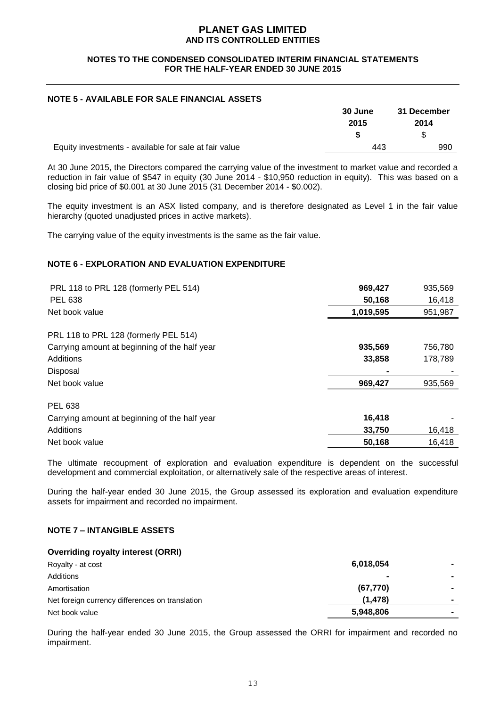#### **NOTES TO THE CONDENSED CONSOLIDATED INTERIM FINANCIAL STATEMENTS FOR THE HALF-YEAR ENDED 30 JUNE 2015**

## **NOTE 5 - AVAILABLE FOR SALE FINANCIAL ASSETS**

|                                                       | 30 June | 31 December |
|-------------------------------------------------------|---------|-------------|
|                                                       | 2015    | 2014        |
|                                                       |         |             |
| Equity investments - available for sale at fair value | 443     | 990         |

At 30 June 2015, the Directors compared the carrying value of the investment to market value and recorded a reduction in fair value of \$547 in equity (30 June 2014 - \$10,950 reduction in equity). This was based on a closing bid price of \$0.001 at 30 June 2015 (31 December 2014 - \$0.002).

The equity investment is an ASX listed company, and is therefore designated as Level 1 in the fair value hierarchy (quoted unadjusted prices in active markets).

The carrying value of the equity investments is the same as the fair value.

## **NOTE 6 - EXPLORATION AND EVALUATION EXPENDITURE**

| PRL 118 to PRL 128 (formerly PEL 514)         | 969,427   | 935,569 |
|-----------------------------------------------|-----------|---------|
| <b>PEL 638</b>                                | 50,168    | 16,418  |
| Net book value                                | 1,019,595 | 951,987 |
| PRL 118 to PRL 128 (formerly PEL 514)         |           |         |
| Carrying amount at beginning of the half year | 935,569   | 756,780 |
| Additions                                     | 33,858    | 178,789 |
| Disposal                                      |           |         |
| Net book value                                | 969,427   | 935,569 |
| PEL 638                                       |           |         |
| Carrying amount at beginning of the half year | 16,418    |         |
| Additions                                     | 33,750    | 16,418  |
| Net book value                                | 50,168    | 16,418  |

The ultimate recoupment of exploration and evaluation expenditure is dependent on the successful development and commercial exploitation, or alternatively sale of the respective areas of interest.

During the half-year ended 30 June 2015, the Group assessed its exploration and evaluation expenditure assets for impairment and recorded no impairment.

## **NOTE 7 – INTANGIBLE ASSETS**

#### **Overriding royalty interest (ORRI)**

| Royalty - at cost                               | 6,018,054      |                |
|-------------------------------------------------|----------------|----------------|
| Additions                                       | $\blacksquare$ |                |
| Amortisation                                    | (67, 770)      | $\blacksquare$ |
| Net foreign currency differences on translation | (1.478)        |                |
| Net book value                                  | 5,948,806      |                |
|                                                 |                |                |

During the half-year ended 30 June 2015, the Group assessed the ORRI for impairment and recorded no impairment.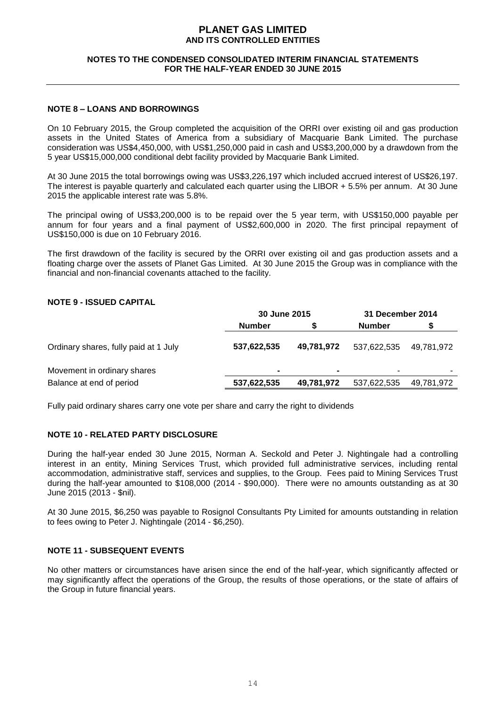#### **NOTES TO THE CONDENSED CONSOLIDATED INTERIM FINANCIAL STATEMENTS FOR THE HALF-YEAR ENDED 30 JUNE 2015**

#### **NOTE 8 – LOANS AND BORROWINGS**

On 10 February 2015, the Group completed the acquisition of the ORRI over existing oil and gas production assets in the United States of America from a subsidiary of Macquarie Bank Limited. The purchase consideration was US\$4,450,000, with US\$1,250,000 paid in cash and US\$3,200,000 by a drawdown from the 5 year US\$15,000,000 conditional debt facility provided by Macquarie Bank Limited.

At 30 June 2015 the total borrowings owing was US\$3,226,197 which included accrued interest of US\$26,197. The interest is payable quarterly and calculated each quarter using the LIBOR + 5.5% per annum. At 30 June 2015 the applicable interest rate was 5.8%.

The principal owing of US\$3,200,000 is to be repaid over the 5 year term, with US\$150,000 payable per annum for four years and a final payment of US\$2,600,000 in 2020. The first principal repayment of US\$150,000 is due on 10 February 2016.

The first drawdown of the facility is secured by the ORRI over existing oil and gas production assets and a floating charge over the assets of Planet Gas Limited. At 30 June 2015 the Group was in compliance with the financial and non-financial covenants attached to the facility.

#### **NOTE 9 - ISSUED CAPITAL**

|                                       | 30 June 2015  |            | 31 December 2014 |            |
|---------------------------------------|---------------|------------|------------------|------------|
|                                       | <b>Number</b> |            | <b>Number</b>    |            |
| Ordinary shares, fully paid at 1 July | 537,622,535   | 49,781,972 | 537,622,535      | 49.781.972 |
| Movement in ordinary shares           |               |            |                  |            |
| Balance at end of period              | 537,622,535   | 49,781,972 | 537,622,535      | 49,781,972 |

Fully paid ordinary shares carry one vote per share and carry the right to dividends

## **NOTE 10 - RELATED PARTY DISCLOSURE**

During the half-year ended 30 June 2015, Norman A. Seckold and Peter J. Nightingale had a controlling interest in an entity, Mining Services Trust, which provided full administrative services, including rental accommodation, administrative staff, services and supplies, to the Group. Fees paid to Mining Services Trust during the half-year amounted to \$108,000 (2014 - \$90,000). There were no amounts outstanding as at 30 June 2015 (2013 - \$nil).

At 30 June 2015, \$6,250 was payable to Rosignol Consultants Pty Limited for amounts outstanding in relation to fees owing to Peter J. Nightingale (2014 - \$6,250).

#### **NOTE 11 - SUBSEQUENT EVENTS**

No other matters or circumstances have arisen since the end of the half-year, which significantly affected or may significantly affect the operations of the Group, the results of those operations, or the state of affairs of the Group in future financial years.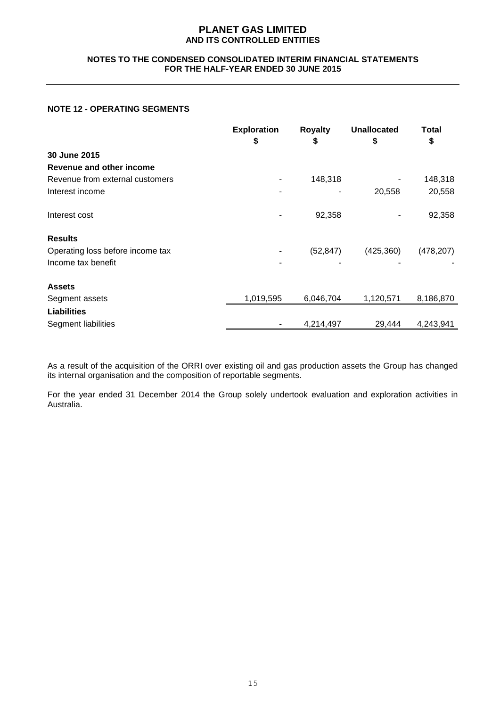#### **NOTES TO THE CONDENSED CONSOLIDATED INTERIM FINANCIAL STATEMENTS FOR THE HALF-YEAR ENDED 30 JUNE 2015**

## **NOTE 12 - OPERATING SEGMENTS**

|                                  | <b>Exploration</b><br>\$ | <b>Royalty</b><br>\$ | <b>Unallocated</b><br>\$ | Total<br>\$ |
|----------------------------------|--------------------------|----------------------|--------------------------|-------------|
| 30 June 2015                     |                          |                      |                          |             |
| Revenue and other income         |                          |                      |                          |             |
| Revenue from external customers  |                          | 148,318              |                          | 148,318     |
| Interest income                  |                          |                      | 20,558                   | 20,558      |
| Interest cost                    |                          | 92,358               |                          | 92,358      |
| <b>Results</b>                   |                          |                      |                          |             |
| Operating loss before income tax |                          | (52, 847)            | (425,360)                | (478, 207)  |
| Income tax benefit               |                          |                      |                          |             |
| <b>Assets</b>                    |                          |                      |                          |             |
| Segment assets                   | 1,019,595                | 6,046,704            | 1,120,571                | 8,186,870   |
| <b>Liabilities</b>               |                          |                      |                          |             |
| Segment liabilities              |                          | 4,214,497            | 29,444                   | 4,243,941   |

As a result of the acquisition of the ORRI over existing oil and gas production assets the Group has changed its internal organisation and the composition of reportable segments.

For the year ended 31 December 2014 the Group solely undertook evaluation and exploration activities in Australia.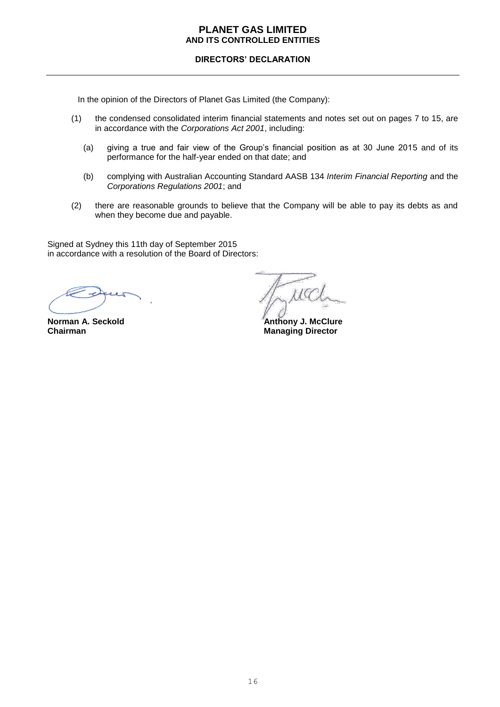## **DIRECTORS' DECLARATION**

In the opinion of the Directors of Planet Gas Limited (the Company):

- (1) the condensed consolidated interim financial statements and notes set out on pages 7 to 15, are in accordance with the *Corporations Act 2001*, including:
	- (a) giving a true and fair view of the Group's financial position as at 30 June 2015 and of its performance for the half-year ended on that date; and
	- (b) complying with Australian Accounting Standard AASB 134 *Interim Financial Reporting* and the *Corporations Regulations 2001*; and
- (2) there are reasonable grounds to believe that the Company will be able to pay its debts as and when they become due and payable.

Signed at Sydney this 11th day of September 2015 in accordance with a resolution of the Board of Directors:

 $1G$ 

**Norman A. Seckold Chairman A. Seckold Chairman A. Seckold Chairman A. Section Anthony J. McClure**<br> **Anthony J. McClure**<br> **Anthony J. McClure Managing Director**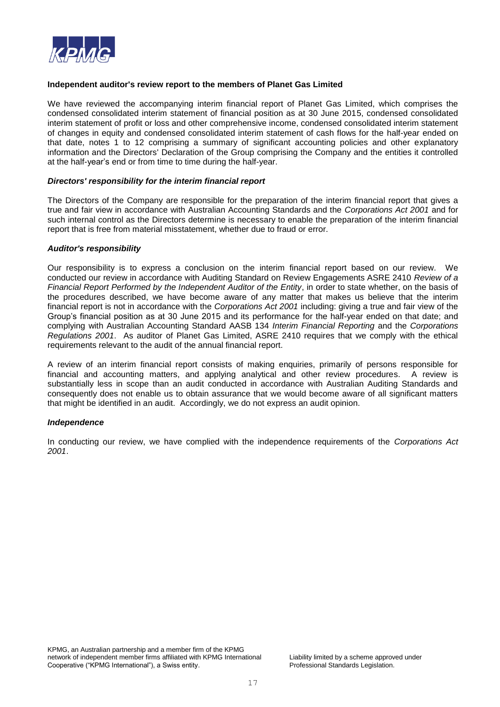

#### **Independent auditor's review report to the members of Planet Gas Limited**

We have reviewed the accompanying interim financial report of Planet Gas Limited, which comprises the condensed consolidated interim statement of financial position as at 30 June 2015, condensed consolidated interim statement of profit or loss and other comprehensive income, condensed consolidated interim statement of changes in equity and condensed consolidated interim statement of cash flows for the half-year ended on that date, notes 1 to 12 comprising a summary of significant accounting policies and other explanatory information and the Directors' Declaration of the Group comprising the Company and the entities it controlled at the half-year's end or from time to time during the half-year.

#### *Directors' responsibility for the interim financial report*

The Directors of the Company are responsible for the preparation of the interim financial report that gives a true and fair view in accordance with Australian Accounting Standards and the *Corporations Act 2001* and for such internal control as the Directors determine is necessary to enable the preparation of the interim financial report that is free from material misstatement, whether due to fraud or error.

#### *Auditor's responsibility*

Our responsibility is to express a conclusion on the interim financial report based on our review. We conducted our review in accordance with Auditing Standard on Review Engagements ASRE 2410 *Review of a Financial Report Performed by the Independent Auditor of the Entity*, in order to state whether, on the basis of the procedures described, we have become aware of any matter that makes us believe that the interim financial report is not in accordance with the *Corporations Act 2001* including: giving a true and fair view of the Group's financial position as at 30 June 2015 and its performance for the half-year ended on that date; and complying with Australian Accounting Standard AASB 134 *Interim Financial Reporting* and the *Corporations Regulations 2001*. As auditor of Planet Gas Limited, ASRE 2410 requires that we comply with the ethical requirements relevant to the audit of the annual financial report.

A review of an interim financial report consists of making enquiries, primarily of persons responsible for financial and accounting matters, and applying analytical and other review procedures. A review is substantially less in scope than an audit conducted in accordance with Australian Auditing Standards and consequently does not enable us to obtain assurance that we would become aware of all significant matters that might be identified in an audit. Accordingly, we do not express an audit opinion.

#### *Independence*

In conducting our review, we have complied with the independence requirements of the *Corporations Act 2001*.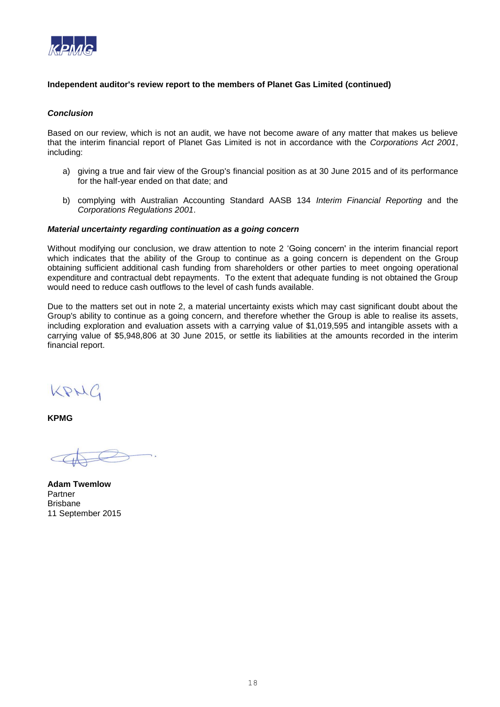

## **Independent auditor's review report to the members of Planet Gas Limited (continued)**

#### *Conclusion*

Based on our review, which is not an audit, we have not become aware of any matter that makes us believe that the interim financial report of Planet Gas Limited is not in accordance with the *Corporations Act 2001*, including:

- a) giving a true and fair view of the Group's financial position as at 30 June 2015 and of its performance for the half-year ended on that date; and
- b) complying with Australian Accounting Standard AASB 134 *Interim Financial Reporting* and the *Corporations Regulations 2001*.

#### *Material uncertainty regarding continuation as a going concern*

Without modifying our conclusion, we draw attention to note 2 'Going concern' in the interim financial report which indicates that the ability of the Group to continue as a going concern is dependent on the Group obtaining sufficient additional cash funding from shareholders or other parties to meet ongoing operational expenditure and contractual debt repayments. To the extent that adequate funding is not obtained the Group would need to reduce cash outflows to the level of cash funds available.

Due to the matters set out in note 2, a material uncertainty exists which may cast significant doubt about the Group's ability to continue as a going concern, and therefore whether the Group is able to realise its assets, including exploration and evaluation assets with a carrying value of \$1,019,595 and intangible assets with a carrying value of \$5,948,806 at 30 June 2015, or settle its liabilities at the amounts recorded in the interim financial report.

KRNG

**KPMG**

**Adam Twemlow** Partner Brisbane 11 September 2015